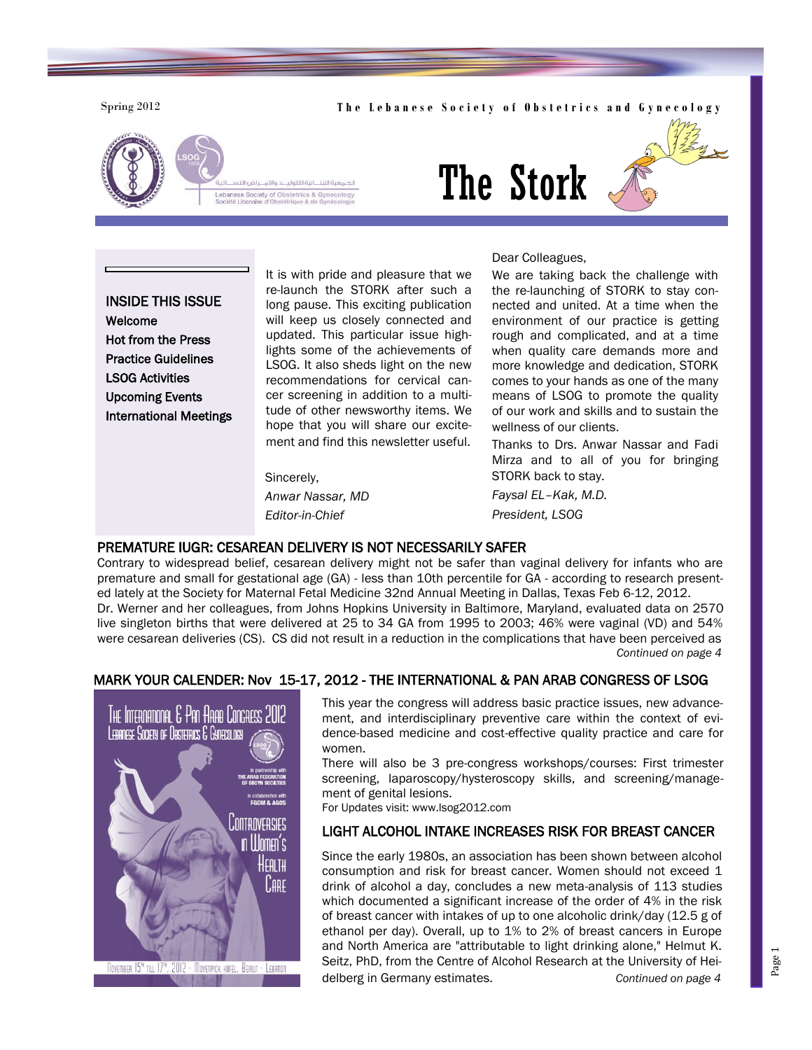#### Spring 2012 **The Lebanese Society of Obstetrics and Gynecology**





# The Stork

Dear Colleagues,

INSIDE THIS ISSUE Welcome Hot from the Press Practice Guidelines LSOG Activities Upcoming Events International Meetings It is with pride and pleasure that we re-launch the STORK after such a long pause. This exciting publication will keep us closely connected and updated. This particular issue highlights some of the achievements of LSOG. It also sheds light on the new recommendations for cervical cancer screening in addition to a multitude of other newsworthy items. We hope that you will share our excitement and find this newsletter useful.

Sincerely, *Anwar Nassar, MD Editor-in-Chief* 

We are taking back the challenge with the re-launching of STORK to stay connected and united. At a time when the environment of our practice is getting rough and complicated, and at a time when quality care demands more and more knowledge and dedication, STORK comes to your hands as one of the many means of LSOG to promote the quality of our work and skills and to sustain the wellness of our clients.

Thanks to Drs. Anwar Nassar and Fadi Mirza and to all of you for bringing STORK back to stay.

*Faysal EL–Kak, M.D. President, LSOG*

#### PREMATURE IUGR: CESAREAN DELIVERY IS NOT NECESSARILY SAFER

Contrary to widespread belief, cesarean delivery might not be safer than vaginal delivery for infants who are premature and small for gestational age (GA) - less than 10th percentile for GA - according to research presented lately at the Society for Maternal Fetal Medicine 32nd Annual Meeting in Dallas, Texas Feb 6-12, 2012. Dr. Werner and her colleagues, from Johns Hopkins University in Baltimore, Maryland, evaluated data on 2570 live singleton births that were delivered at 25 to 34 GA from 1995 to 2003; 46% were vaginal (VD) and 54% were cesarean deliveries (CS). CS did not result in a reduction in the complications that have been perceived as *Continued on page 4*

### MARK YOUR CALENDER: Nov 15-17, 2012 - THE INTERNATIONAL & PAN ARAB CONGRESS OF LSOG



This year the congress will address basic practice issues, new advancement, and interdisciplinary preventive care within the context of evidence-based medicine and cost-effective quality practice and care for women.

There will also be 3 pre-congress workshops/courses: First trimester screening, laparoscopy/hysteroscopy skills, and screening/management of genital lesions.

For Updates visit: www.lsog2012.com

# LIGHT ALCOHOL INTAKE INCREASES RISK FOR BREAST CANCER

Since the early 1980s, an association has been shown between alcohol consumption and risk for breast cancer. Women should not exceed 1 drink of alcohol a day, concludes a new meta-analysis of 113 studies which documented a significant increase of the order of 4% in the risk of breast cancer with intakes of up to one alcoholic drink/day (12.5 g of ethanol per day). Overall, up to 1% to 2% of breast cancers in Europe and North America are "attributable to light drinking alone," Helmut K. Seitz, PhD, from the Centre of Alcohol Research at the University of Heidelberg in Germany estimates. *Continued on page 4*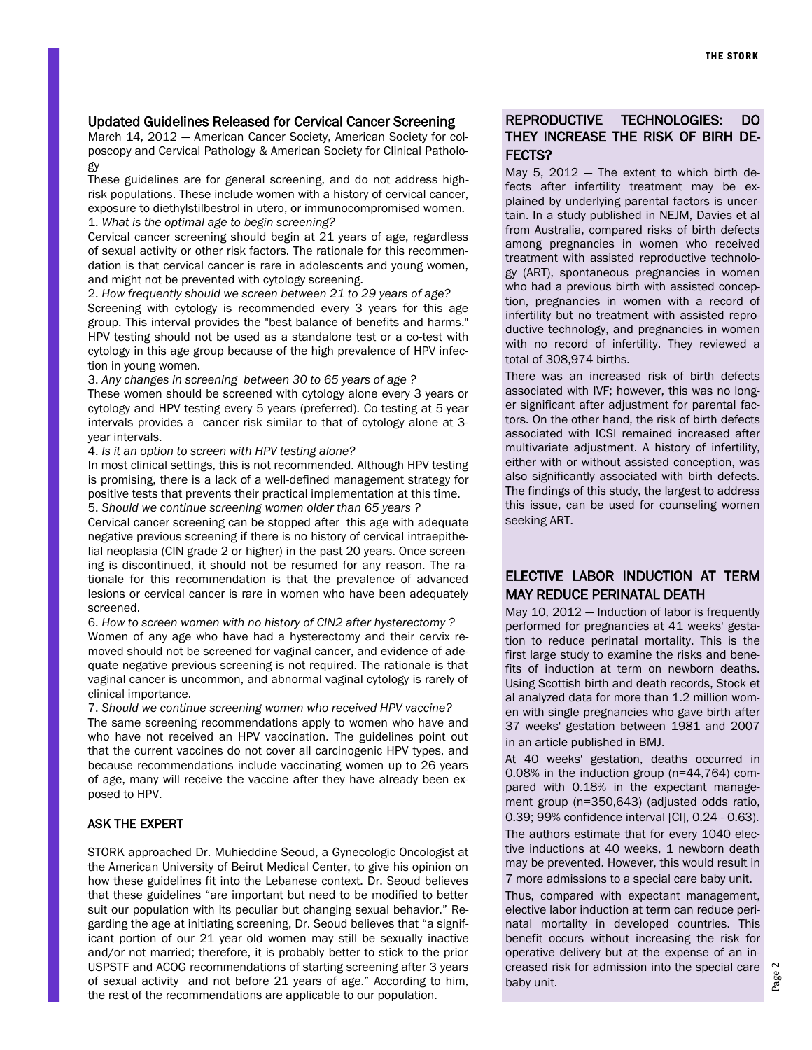#### Updated Guidelines Released for Cervical Cancer Screening

March 14, 2012 — American Cancer Society, American Society for colposcopy and Cervical Pathology & American Society for Clinical Pathology

These guidelines are for general screening, and do not address highrisk populations. These include women with a history of cervical cancer, exposure to diethylstilbestrol in utero, or immunocompromised women. 1. *What is the optimal age to begin screening?* 

Cervical cancer screening should begin at 21 years of age, regardless of sexual activity or other risk factors. The rationale for this recommendation is that cervical cancer is rare in adolescents and young women, and might not be prevented with cytology screening.

2. *How frequently should we screen between 21 to 29 years of age?* Screening with cytology is recommended every 3 years for this age group. This interval provides the "best balance of benefits and harms." HPV testing should not be used as a standalone test or a co-test with cytology in this age group because of the high prevalence of HPV infection in young women.

3. *Any changes in screening between 30 to 65 years of age ?*

These women should be screened with cytology alone every 3 years or cytology and HPV testing every 5 years (preferred). Co-testing at 5-year intervals provides a cancer risk similar to that of cytology alone at 3 year intervals.

4. *Is it an option to screen with HPV testing alone?*

In most clinical settings, this is not recommended. Although HPV testing is promising, there is a lack of a well-defined management strategy for positive tests that prevents their practical implementation at this time. 5. *Should we continue screening women older than 65 years ?*

Cervical cancer screening can be stopped after this age with adequate negative previous screening if there is no history of cervical intraepithelial neoplasia (CIN grade 2 or higher) in the past 20 years. Once screening is discontinued, it should not be resumed for any reason. The rationale for this recommendation is that the prevalence of advanced lesions or cervical cancer is rare in women who have been adequately screened.

6. *How to screen women with no history of CIN2 after hysterectomy ?* Women of any age who have had a hysterectomy and their cervix removed should not be screened for vaginal cancer, and evidence of adequate negative previous screening is not required. The rationale is that vaginal cancer is uncommon, and abnormal vaginal cytology is rarely of clinical importance.

7. *Should we continue screening women who received HPV vaccine?*  The same screening recommendations apply to women who have and who have not received an HPV vaccination. The guidelines point out that the current vaccines do not cover all carcinogenic HPV types, and because recommendations include vaccinating women up to 26 years of age, many will receive the vaccine after they have already been exposed to HPV.

#### ASK THE EXPERT

STORK approached Dr. Muhieddine Seoud, a Gynecologic Oncologist at the American University of Beirut Medical Center, to give his opinion on how these guidelines fit into the Lebanese context. Dr. Seoud believes that these guidelines "are important but need to be modified to better suit our population with its peculiar but changing sexual behavior." Regarding the age at initiating screening, Dr. Seoud believes that "a significant portion of our 21 year old women may still be sexually inactive and/or not married; therefore, it is probably better to stick to the prior USPSTF and ACOG recommendations of starting screening after 3 years of sexual activity and not before 21 years of age." According to him, the rest of the recommendations are applicable to our population.

# REPRODUCTIVE TECHNOLOGIES: DO THEY INCREASE THE RISK OF BIRH DE-FECTS?

May 5,  $2012 -$  The extent to which birth defects after infertility treatment may be explained by underlying parental factors is uncertain. In a study published in NEJM, Davies et al from Australia, compared risks of birth defects among pregnancies in women who received treatment with assisted reproductive technology (ART), spontaneous pregnancies in women who had a previous birth with assisted conception, pregnancies in women with a record of infertility but no treatment with assisted reproductive technology, and pregnancies in women with no record of infertility. They reviewed a total of 308,974 births.

There was an increased risk of birth defects associated with IVF; however, this was no longer significant after adjustment for parental factors. On the other hand, the risk of birth defects associated with ICSI remained increased after multivariate adjustment. A history of infertility, either with or without assisted conception, was also significantly associated with birth defects. The findings of this study, the largest to address this issue, can be used for counseling women seeking ART.

# ELECTIVE LABOR INDUCTION AT TERM MAY REDUCE PERINATAL DEATH

May 10, 2012 — Induction of labor is frequently performed for pregnancies at 41 weeks' gestation to reduce perinatal mortality. This is the first large study to examine the risks and benefits of induction at term on newborn deaths. Using Scottish birth and death records, Stock et al analyzed data for more than 1.2 million women with single pregnancies who gave birth after 37 weeks' gestation between 1981 and 2007 in an article published in BMJ.

At 40 weeks' gestation, deaths occurred in 0.08% in the induction group (n=44,764) compared with 0.18% in the expectant management group (n=350,643) (adjusted odds ratio, 0.39; 99% confidence interval [CI], 0.24 - 0.63). The authors estimate that for every 1040 elective inductions at 40 weeks, 1 newborn death may be prevented. However, this would result in 7 more admissions to a special care baby unit.

Thus, compared with expectant management, elective labor induction at term can reduce perinatal mortality in developed countries. This benefit occurs without increasing the risk for operative delivery but at the expense of an increased risk for admission into the special care baby unit.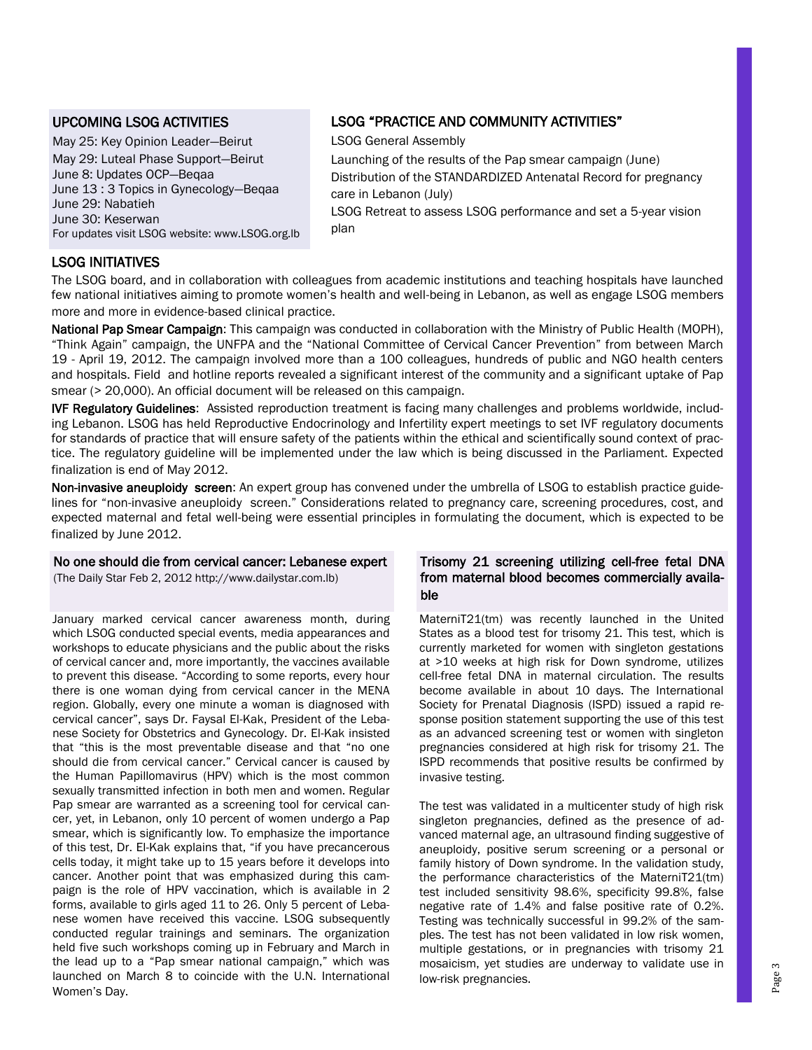### UPCOMING LSOG ACTIVITIES

May 25: Key Opinion Leader—Beirut May 29: Luteal Phase Support—Beirut June 8: Updates OCP—Beqaa June 13 : 3 Topics in Gynecology—Beqaa June 29: Nabatieh June 30: Keserwan For updates visit LSOG website: www.LSOG.org.lb

# LSOG "PRACTICE AND COMMUNITY ACTIVITIES"

LSOG General Assembly

Launching of the results of the Pap smear campaign (June) Distribution of the STANDARDIZED Antenatal Record for pregnancy care in Lebanon (July)

LSOG Retreat to assess LSOG performance and set a 5-year vision plan

# LSOG INITIATIVES

The LSOG board, and in collaboration with colleagues from academic institutions and teaching hospitals have launched few national initiatives aiming to promote women"s health and well-being in Lebanon, as well as engage LSOG members more and more in evidence-based clinical practice.

National Pap Smear Campaign: This campaign was conducted in collaboration with the Ministry of Public Health (MOPH), "Think Again" campaign, the UNFPA and the "National Committee of Cervical Cancer Prevention" from between March 19 - April 19, 2012. The campaign involved more than a 100 colleagues, hundreds of public and NGO health centers and hospitals. Field and hotline reports revealed a significant interest of the community and a significant uptake of Pap smear (> 20,000). An official document will be released on this campaign.

IVF Regulatory Guidelines: Assisted reproduction treatment is facing many challenges and problems worldwide, including Lebanon. LSOG has held Reproductive Endocrinology and Infertility expert meetings to set IVF regulatory documents for standards of practice that will ensure safety of the patients within the ethical and scientifically sound context of practice. The regulatory guideline will be implemented under the law which is being discussed in the Parliament. Expected finalization is end of May 2012.

Non-invasive aneuploidy screen: An expert group has convened under the umbrella of LSOG to establish practice guidelines for "non-invasive aneuploidy screen." Considerations related to pregnancy care, screening procedures, cost, and expected maternal and fetal well-being were essential principles in formulating the document, which is expected to be finalized by June 2012.

#### No one should die from cervical cancer: Lebanese expert

(The Daily Star Feb 2, 2012 http://www.dailystar.com.lb)

January marked cervical cancer awareness month, during which LSOG conducted special events, media appearances and workshops to educate physicians and the public about the risks of cervical cancer and, more importantly, the vaccines available to prevent this disease. "According to some reports, every hour there is one woman dying from cervical cancer in the MENA region. Globally, every one minute a woman is diagnosed with cervical cancer", says Dr. Faysal El-Kak, President of the Lebanese Society for Obstetrics and Gynecology. Dr. El-Kak insisted that "this is the most preventable disease and that "no one should die from cervical cancer." Cervical cancer is caused by the Human Papillomavirus (HPV) which is the most common sexually transmitted infection in both men and women. Regular Pap smear are warranted as a screening tool for cervical cancer, yet, in Lebanon, only 10 percent of women undergo a Pap smear, which is significantly low. To emphasize the importance of this test, Dr. El-Kak explains that, "if you have precancerous cells today, it might take up to 15 years before it develops into cancer. Another point that was emphasized during this campaign is the role of HPV vaccination, which is available in 2 forms, available to girls aged 11 to 26. Only 5 percent of Lebanese women have received this vaccine. LSOG subsequently conducted regular trainings and seminars. The organization held five such workshops coming up in February and March in the lead up to a "Pap smear national campaign," which was launched on March 8 to coincide with the U.N. International Women"s Day.

#### Trisomy 21 screening utilizing cell-free fetal DNA from maternal blood becomes commercially available

MaterniT21(tm) was recently launched in the United States as a blood test for trisomy 21. This test, which is currently marketed for women with singleton gestations at >10 weeks at high risk for Down syndrome, utilizes cell-free fetal DNA in maternal circulation. The results become available in about 10 days. The International Society for Prenatal Diagnosis (ISPD) issued a rapid response position statement supporting the use of this test as an advanced screening test or women with singleton pregnancies considered at high risk for trisomy 21. The ISPD recommends that positive results be confirmed by invasive testing.

The test was validated in a multicenter study of high risk singleton pregnancies, defined as the presence of advanced maternal age, an ultrasound finding suggestive of aneuploidy, positive serum screening or a personal or family history of Down syndrome. In the validation study, the performance characteristics of the MaterniT21(tm) test included sensitivity 98.6%, specificity 99.8%, false negative rate of 1.4% and false positive rate of 0.2%. Testing was technically successful in 99.2% of the samples. The test has not been validated in low risk women, multiple gestations, or in pregnancies with trisomy 21 mosaicism, yet studies are underway to validate use in low-risk pregnancies.